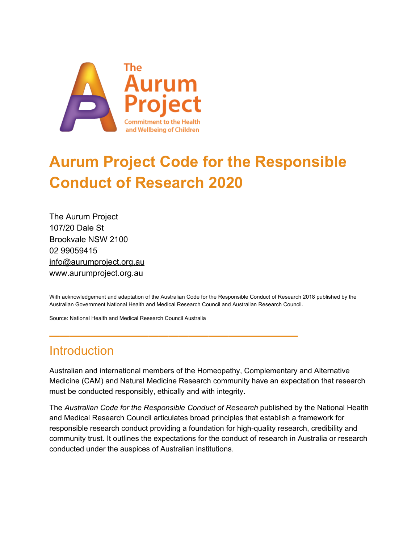

# **Aurum Project Code for the Responsible Conduct of Research 2020**

The Aurum Project 107/20 Dale St Brookvale NSW 2100 02 99059415 info@aurumproject.org.au www.aurumproject.org.au

With acknowledgement and adaptation of the Australian Code for the Responsible Conduct of Research 2018 published by the Australian Government National Health and Medical Research Council and Australian Research Council.

**—————————————————————————**

Source: National Health and Medical Research Council Australia

# **Introduction**

Australian and international members of the Homeopathy, Complementary and Alternative Medicine (CAM) and Natural Medicine Research community have an expectation that research must be conducted responsibly, ethically and with integrity.

The *Australian Code for the Responsible Conduct of Research* published by the National Health and Medical Research Council articulates broad principles that establish a framework for responsible research conduct providing a foundation for high-quality research, credibility and community trust. It outlines the expectations for the conduct of research in Australia or research conducted under the auspices of Australian institutions.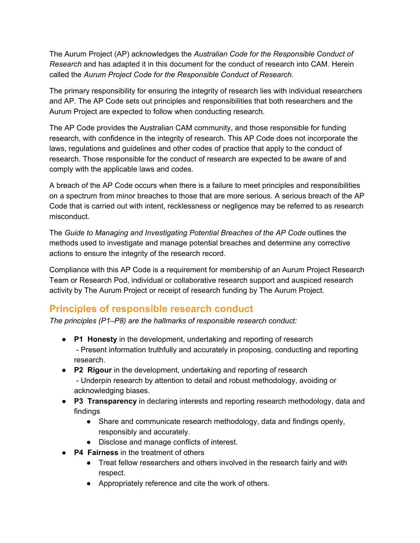The Aurum Project (AP) acknowledges the *Australian Code for the Responsible Conduct of Research* and has adapted it in this document for the conduct of research into CAM. Herein called the *Aurum Project Code for the Responsible Conduct of Research.*

The primary responsibility for ensuring the integrity of research lies with individual researchers and AP. The AP Code sets out principles and responsibilities that both researchers and the Aurum Project are expected to follow when conducting research.

The AP Code provides the Australian CAM community, and those responsible for funding research, with confidence in the integrity of research. This AP Code does not incorporate the laws, regulations and guidelines and other codes of practice that apply to the conduct of research. Those responsible for the conduct of research are expected to be aware of and comply with the applicable laws and codes.

A breach of the AP Code occurs when there is a failure to meet principles and responsibilities on a spectrum from minor breaches to those that are more serious. A serious breach of the AP Code that is carried out with intent, recklessness or negligence may be referred to as research misconduct.

The *Guide to Managing and Investigating Potential Breaches of the AP Code* outlines the methods used to investigate and manage potential breaches and determine any corrective actions to ensure the integrity of the research record.

Compliance with this AP Code is a requirement for membership of an Aurum Project Research Team or Research Pod, individual or collaborative research support and auspiced research activity by The Aurum Project or receipt of research funding by The Aurum Project.

## **Principles of responsible research conduct**

*The principles (P1–P8) are the hallmarks of responsible research conduct:*

- **P1 Honesty** in the development, undertaking and reporting of research - Present information truthfully and accurately in proposing, conducting and reporting research.
- **P2 Rigour** in the development, undertaking and reporting of research - Underpin research by attention to detail and robust methodology, avoiding or acknowledging biases.
- **P3 Transparency** in declaring interests and reporting research methodology, data and findings
	- Share and communicate research methodology, data and findings openly, responsibly and accurately.
	- Disclose and manage conflicts of interest.
- **P4 Fairness** in the treatment of others
	- Treat fellow researchers and others involved in the research fairly and with respect.
	- Appropriately reference and cite the work of others.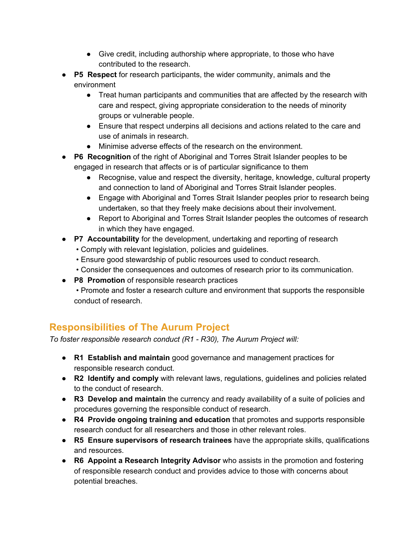- Give credit, including authorship where appropriate, to those who have contributed to the research.
- **P5 Respect** for research participants, the wider community, animals and the environment
	- Treat human participants and communities that are affected by the research with care and respect, giving appropriate consideration to the needs of minority groups or vulnerable people.
	- Ensure that respect underpins all decisions and actions related to the care and use of animals in research.
	- Minimise adverse effects of the research on the environment.
- **P6 Recognition** of the right of Aboriginal and Torres Strait Islander peoples to be engaged in research that affects or is of particular significance to them
	- Recognise, value and respect the diversity, heritage, knowledge, cultural property and connection to land of Aboriginal and Torres Strait Islander peoples.
	- Engage with Aboriginal and Torres Strait Islander peoples prior to research being undertaken, so that they freely make decisions about their involvement.
	- Report to Aboriginal and Torres Strait Islander peoples the outcomes of research in which they have engaged.
- **P7 Accountability** for the development, undertaking and reporting of research
	- Comply with relevant legislation, policies and guidelines.
	- Ensure good stewardship of public resources used to conduct research.
	- Consider the consequences and outcomes of research prior to its communication.
- **P8 Promotion** of responsible research practices
	- Promote and foster a research culture and environment that supports the responsible conduct of research.

# **Responsibilities of The Aurum Project**

*To foster responsible research conduct (R1 - R30), The Aurum Project will:*

- **R1 Establish and maintain** good governance and management practices for responsible research conduct.
- **R2 Identify and comply** with relevant laws, regulations, guidelines and policies related to the conduct of research.
- **R3 Develop and maintain** the currency and ready availability of a suite of policies and procedures governing the responsible conduct of research.
- **R4 Provide ongoing training and education** that promotes and supports responsible research conduct for all researchers and those in other relevant roles.
- **R5 Ensure supervisors of research trainees** have the appropriate skills, qualifications and resources.
- **R6 Appoint a Research Integrity Advisor** who assists in the promotion and fostering of responsible research conduct and provides advice to those with concerns about potential breaches.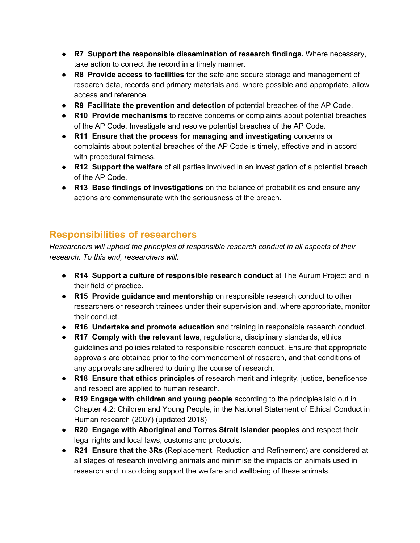- **R7 Support the responsible dissemination of research findings.** Where necessary, take action to correct the record in a timely manner.
- **R8 Provide access to facilities** for the safe and secure storage and management of research data, records and primary materials and, where possible and appropriate, allow access and reference.
- **R9 Facilitate the prevention and detection** of potential breaches of the AP Code.
- **R10 Provide mechanisms** to receive concerns or complaints about potential breaches of the AP Code. Investigate and resolve potential breaches of the AP Code.
- **R11 Ensure that the process for managing and investigating** concerns or complaints about potential breaches of the AP Code is timely, effective and in accord with procedural fairness.
- **R12 Support the welfare** of all parties involved in an investigation of a potential breach of the AP Code.
- **R13 Base findings of investigations** on the balance of probabilities and ensure any actions are commensurate with the seriousness of the breach.

### **Responsibilities of researchers**

*Researchers will uphold the principles of responsible research conduct in all aspects of their research. To this end, researchers will:*

- **R14 Support a culture of responsible research conduct** at The Aurum Project and in their field of practice.
- **R15 Provide guidance and mentorship** on responsible research conduct to other researchers or research trainees under their supervision and, where appropriate, monitor their conduct.
- **R16 Undertake and promote education** and training in responsible research conduct.
- **R17 Comply with the relevant laws**, regulations, disciplinary standards, ethics guidelines and policies related to responsible research conduct. Ensure that appropriate approvals are obtained prior to the commencement of research, and that conditions of any approvals are adhered to during the course of research.
- **R18 Ensure that ethics principles** of research merit and integrity, justice, beneficence and respect are applied to human research.
- **R19 Engage with children and young people** according to the principles laid out in Chapter 4.2: Children and Young People, in the National Statement of Ethical Conduct in Human research (2007) (updated 2018)
- **R20 Engage with Aboriginal and Torres Strait Islander peoples** and respect their legal rights and local laws, customs and protocols.
- **R21 Ensure that the 3Rs** (Replacement, Reduction and Refinement) are considered at all stages of research involving animals and minimise the impacts on animals used in research and in so doing support the welfare and wellbeing of these animals.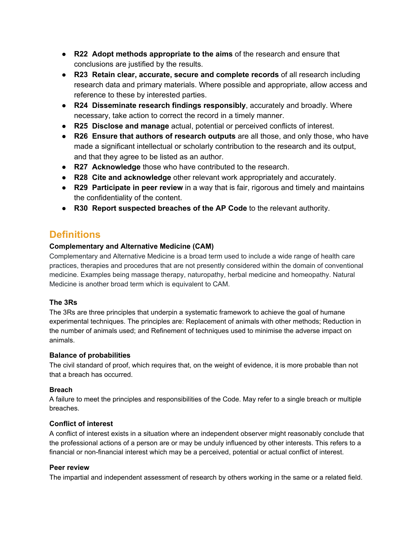- **R22 Adopt methods appropriate to the aims** of the research and ensure that conclusions are justified by the results.
- **R23 Retain clear, accurate, secure and complete records** of all research including research data and primary materials. Where possible and appropriate, allow access and reference to these by interested parties.
- **R24 Disseminate research findings responsibly**, accurately and broadly. Where necessary, take action to correct the record in a timely manner.
- **R25 Disclose and manage** actual, potential or perceived conflicts of interest.
- **R26 Ensure that authors of research outputs** are all those, and only those, who have made a significant intellectual or scholarly contribution to the research and its output, and that they agree to be listed as an author.
- **R27 Acknowledge** those who have contributed to the research.
- **R28 Cite and acknowledge** other relevant work appropriately and accurately.
- **R29 Participate in peer review** in a way that is fair, rigorous and timely and maintains the confidentiality of the content.
- **R30 Report suspected breaches of the AP Code** to the relevant authority.

### **Definitions**

#### **Complementary and Alternative Medicine (CAM)**

Complementary and Alternative Medicine is a broad term used to include a wide range of health care practices, therapies and procedures that are not presently considered within the domain of conventional medicine. Examples being massage therapy, naturopathy, herbal medicine and homeopathy. Natural Medicine is another broad term which is equivalent to CAM.

#### **The 3Rs**

The 3Rs are three principles that underpin a systematic framework to achieve the goal of humane experimental techniques. The principles are: Replacement of animals with other methods; Reduction in the number of animals used; and Refinement of techniques used to minimise the adverse impact on animals.

#### **Balance of probabilities**

The civil standard of proof, which requires that, on the weight of evidence, it is more probable than not that a breach has occurred.

#### **Breach**

A failure to meet the principles and responsibilities of the Code. May refer to a single breach or multiple breaches.

#### **Conflict of interest**

A conflict of interest exists in a situation where an independent observer might reasonably conclude that the professional actions of a person are or may be unduly influenced by other interests. This refers to a financial or non-financial interest which may be a perceived, potential or actual conflict of interest.

#### **Peer review**

The impartial and independent assessment of research by others working in the same or a related field.